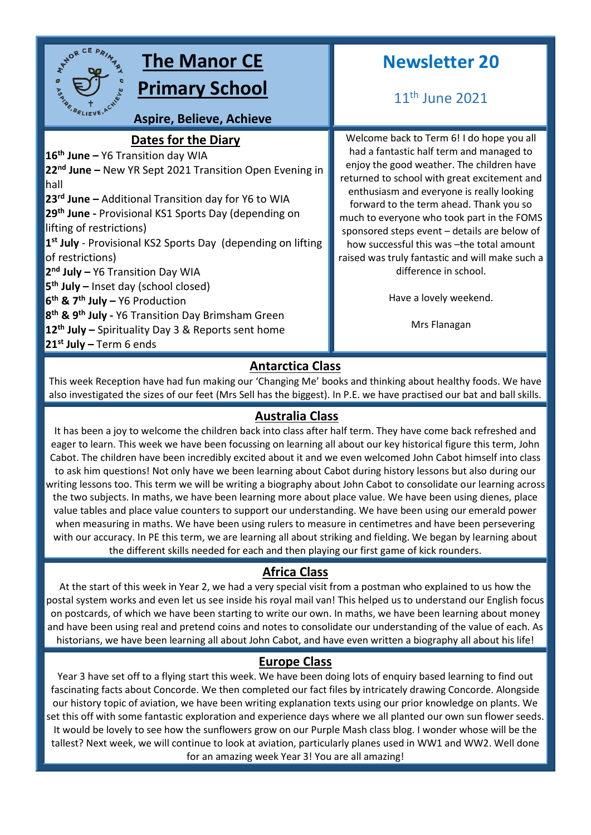

# **Antarctica Class**

This week Reception have had fun making our 'Changing Me' books and thinking about healthy foods. We have also investigated the sizes of our feet (Mrs Sell has the biggest). In P.E. we have practised our bat and ball skills.

#### **Australia Class**

It has been a joy to welcome the children back into class after half term. They have come back refreshed and eager to learn. This week we have been focussing on learning all about our key historical figure this term, John Cabot. The children have been incredibly excited about it and we even welcomed John Cabot himself into class to ask him questions! Not only have we been learning about Cabot during history lessons but also during our writing lessons too. This term we will be writing a biography about John Cabot to consolidate our learning across the two subjects. In maths, we have been learning more about place value. We have been using dienes, place value tables and place value counters to support our understanding. We have been using our emerald power when measuring in maths. We have been using rulers to measure in centimetres and have been persevering with our accuracy. In PE this term, we are learning all about striking and fielding. We began by learning about the different skills needed for each and then playing our first game of kick rounders.

# **Africa Class**

At the start of this week in Year 2, we had a very special visit from a postman who explained to us how the postal system works and even let us see inside his royal mail van! This helped us to understand our English focus on postcards, of which we have been starting to write our own. In maths, we have been learning about money and have been using real and pretend coins and notes to consolidate our understanding of the value of each. As historians, we have been learning all about John Cabot, and have even written a biography all about his life!

#### **Europe Class**

Year 3 have set off to a flying start this week. We have been doing lots of enquiry based learning to find out fascinating facts about Concorde. We then completed our fact files by intricately drawing Concorde. Alongside our history topic of aviation, we have been writing explanation texts using our prior knowledge on plants. We set this off with some fantastic exploration and experience days where we all planted our own sun flower seeds. It would be lovely to see how the sunflowers grow on our Purple Mash class blog. I wonder whose will be the tallest? Next week, we will continue to look at aviation, particularly planes used in WW1 and WW2. Well done for an amazing week Year 3! You are all amazing!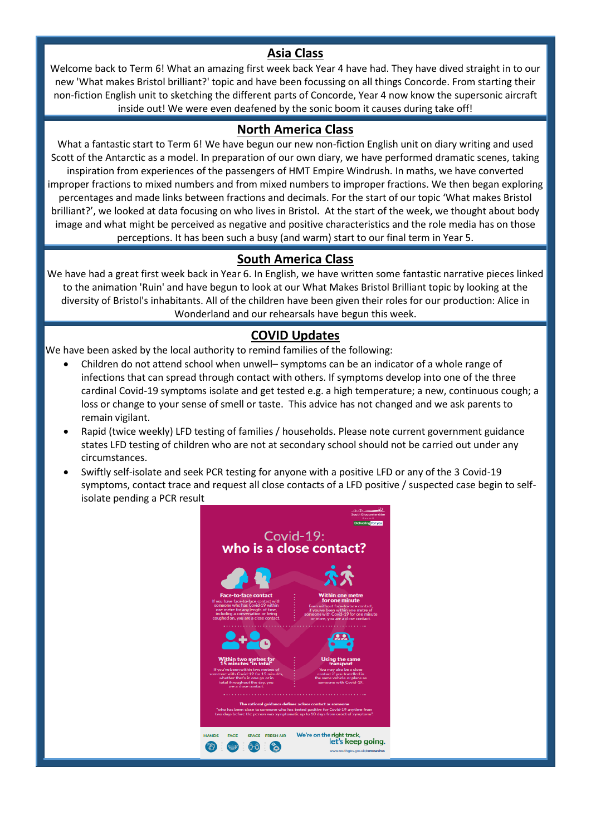#### **Asia Class**

Welcome back to Term 6! What an amazing first week back Year 4 have had. They have dived straight in to our new 'What makes Bristol brilliant?' topic and have been focussing on all things Concorde. From starting their non-fiction English unit to sketching the different parts of Concorde, Year 4 now know the supersonic aircraft inside out! We were even deafened by the sonic boom it causes during take off!

### **North America Class**

What a fantastic start to Term 6! We have begun our new non-fiction English unit on diary writing and used Scott of the Antarctic as a model. In preparation of our own diary, we have performed dramatic scenes, taking inspiration from experiences of the passengers of HMT Empire Windrush. In maths, we have converted improper fractions to mixed numbers and from mixed numbers to improper fractions. We then began exploring percentages and made links between fractions and decimals. For the start of our topic 'What makes Bristol brilliant?', we looked at data focusing on who lives in Bristol. At the start of the week, we thought about body image and what might be perceived as negative and positive characteristics and the role media has on those perceptions. It has been such a busy (and warm) start to our final term in Year 5.

# **South America Class**

We have had a great first week back in Year 6. In English, we have written some fantastic narrative pieces linked to the animation 'Ruin' and have begun to look at our What Makes Bristol Brilliant topic by looking at the diversity of Bristol's inhabitants. All of the children have been given their roles for our production: Alice in Wonderland and our rehearsals have begun this week.

# **COVID Updates**

We have been asked by the local authority to remind families of the following:

- Children do not attend school when unwell– symptoms can be an indicator of a whole range of infections that can spread through contact with others. If symptoms develop into one of the three cardinal Covid-19 symptoms isolate and get tested e.g. a high temperature; a new, continuous cough; a loss or change to your sense of smell or taste. This advice has not changed and we ask parents to remain vigilant.
- Rapid (twice weekly) LFD testing of families / households. Please note current government guidance states LFD testing of children who are not at secondary school should not be carried out under any circumstances.
- Swiftly self-isolate and seek PCR testing for anyone with a positive LFD or any of the 3 Covid-19 symptoms, contact trace and request all close contacts of a LFD positive / suspected case begin to selfisolate pending a PCR result